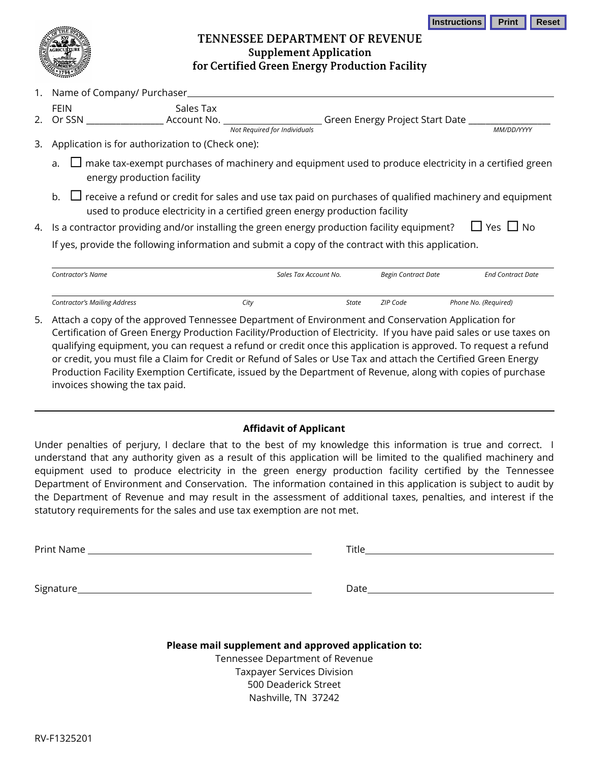## **TENNESSEE DEPARTMENT OF REVENUE Supplement Application** for Certified Green Energy Production Facility

|    | 1796                                                                                                                                                                                             |                                                                                                                     |  |  |  |  |  |
|----|--------------------------------------------------------------------------------------------------------------------------------------------------------------------------------------------------|---------------------------------------------------------------------------------------------------------------------|--|--|--|--|--|
| 1. | Name of Company/ Purchaser                                                                                                                                                                       |                                                                                                                     |  |  |  |  |  |
|    | Sales Tax<br><b>FEIN</b>                                                                                                                                                                         |                                                                                                                     |  |  |  |  |  |
|    |                                                                                                                                                                                                  |                                                                                                                     |  |  |  |  |  |
|    |                                                                                                                                                                                                  | Not Required for Individuals<br>MM/DD/YYYY                                                                          |  |  |  |  |  |
| 3. | Application is for authorization to (Check one):                                                                                                                                                 |                                                                                                                     |  |  |  |  |  |
|    | $\Box$ make tax-exempt purchases of machinery and equipment used to produce electricity in a certified green<br>a.<br>energy production facility                                                 |                                                                                                                     |  |  |  |  |  |
|    | b. $\Box$ receive a refund or credit for sales and use tax paid on purchases of qualified machinery and equipment<br>used to produce electricity in a certified green energy production facility |                                                                                                                     |  |  |  |  |  |
| 4. |                                                                                                                                                                                                  | $\Box$ Yes $\Box$ No<br>Is a contractor providing and/or installing the green energy production facility equipment? |  |  |  |  |  |
|    |                                                                                                                                                                                                  | If yes, provide the following information and submit a copy of the contract with this application.                  |  |  |  |  |  |

| Contractor's Name                   |      | Sales Tax Account No. |  | Begin Contract Date | <b>End Contract Date</b> |
|-------------------------------------|------|-----------------------|--|---------------------|--------------------------|
| <b>Contractor's Mailing Address</b> | City | State                 |  | ZIP Code            | Phone No. (Required)     |

5. Attach a copy of the approved Tennessee Department of Environment and Conservation Application for Certification of Green Energy Production Facility/Production of Electricity. If you have paid sales or use taxes on qualifying equipment, you can request a refund or credit once this application is approved. To request a refund or credit, you must file a Claim for Credit or Refund of Sales or Use Tax and attach the Certified Green Energy Production Facility Exemption Certificate, issued by the Department of Revenue, along with copies of purchase invoices showing the tax paid.

## **Affidavit of Applicant**

Under penalties of perjury, I declare that to the best of my knowledge this information is true and correct. I understand that any authority given as a result of this application will be limited to the qualified machinery and equipment used to produce electricity in the green energy production facility certified by the Tennessee Department of Environment and Conservation. The information contained in this application is subject to audit by the Department of Revenue and may result in the assessment of additional taxes, penalties, and interest if the statutory requirements for the sales and use tax exemption are not met.

Print Name Title

| itle |  |  |  |
|------|--|--|--|
|      |  |  |  |

**Instructions Print Reset** 

Signature Date

| . |  |  |  |
|---|--|--|--|

**Please mail supplement and approved application to:** Tennessee Department of Revenue Taxpayer Services Division 500 Deaderick Street Nashville, TN 37242